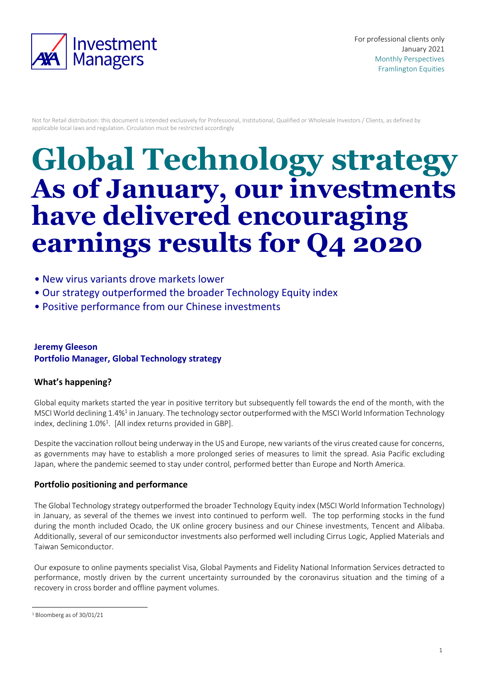

Not for Retail distribution: this document is intended exclusively for Professional, Institutional, Qualified or Wholesale Investors / Clients, as defined by applicable local laws and regulation. Circulation must be restricted accordingly

# **Global Technology strategy As of January, our investments have delivered encouraging earnings results for Q4 2020**

- New virus variants drove markets lower
- Our strategy outperformed the broader Technology Equity index
- Positive performance from our Chinese investments

## **Jeremy Gleeson Portfolio Manager, Global Technology strategy**

### **What's happening?**

Global equity markets started the year in positive territory but subsequently fell towards the end of the month, with the MSCI World declining 1.4%<sup>1</sup> in January. The technology sector outperformed with the MSCI World Information Technology index, declining 1.0%<sup>1</sup>. [All index returns provided in GBP].

Despite the vaccination rollout being underway in the US and Europe, new variants of the virus created cause for concerns, as governments may have to establish a more prolonged series of measures to limit the spread. Asia Pacific excluding Japan, where the pandemic seemed to stay under control, performed better than Europe and North America.

#### **Portfolio positioning and performance**

The Global Technology strategy outperformed the broader Technology Equity index (MSCI World Information Technology) in January, as several of the themes we invest into continued to perform well. The top performing stocks in the fund during the month included Ocado, the UK online grocery business and our Chinese investments, Tencent and Alibaba. Additionally, several of our semiconductor investments also performed well including Cirrus Logic, Applied Materials and Taiwan Semiconductor.

Our exposure to online payments specialist Visa, Global Payments and Fidelity National Information Services detracted to performance, mostly driven by the current uncertainty surrounded by the coronavirus situation and the timing of a recovery in cross border and offline payment volumes.

<sup>1</sup> Bloomberg as of 30/01/21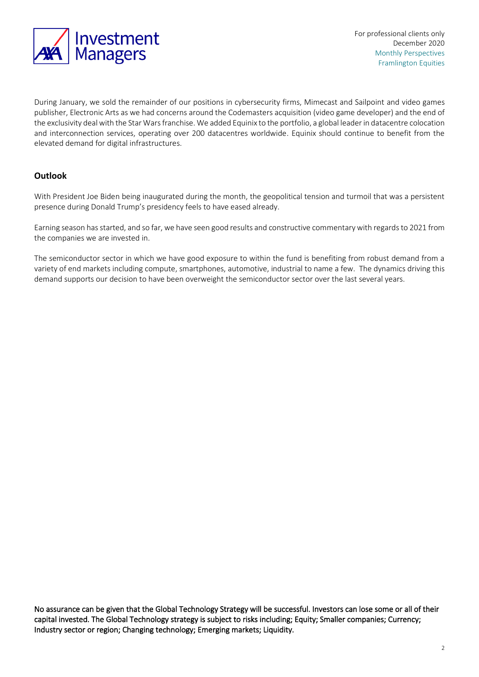

During January, we sold the remainder of our positions in cybersecurity firms, Mimecast and Sailpoint and video games publisher, Electronic Arts as we had concerns around the Codemasters acquisition (video game developer) and the end of the exclusivity deal with the Star Wars franchise. We added Equinix to the portfolio, a global leader in datacentre colocation and interconnection services, operating over 200 datacentres worldwide. Equinix should continue to benefit from the elevated demand for digital infrastructures.

#### **Outlook**

With President Joe Biden being inaugurated during the month, the geopolitical tension and turmoil that was a persistent presence during Donald Trump's presidency feels to have eased already.

Earning season has started, and so far, we have seen good results and constructive commentary with regards to 2021 from the companies we are invested in.

The semiconductor sector in which we have good exposure to within the fund is benefiting from robust demand from a variety of end markets including compute, smartphones, automotive, industrial to name a few. The dynamics driving this demand supports our decision to have been overweight the semiconductor sector over the last several years.

No assurance can be given that the Global Technology Strategy will be successful. Investors can lose some or all of their capital invested. The Global Technology strategy is subject to risks including; Equity; Smaller companies; Currency; Industry sector or region; Changing technology; Emerging markets; Liquidity.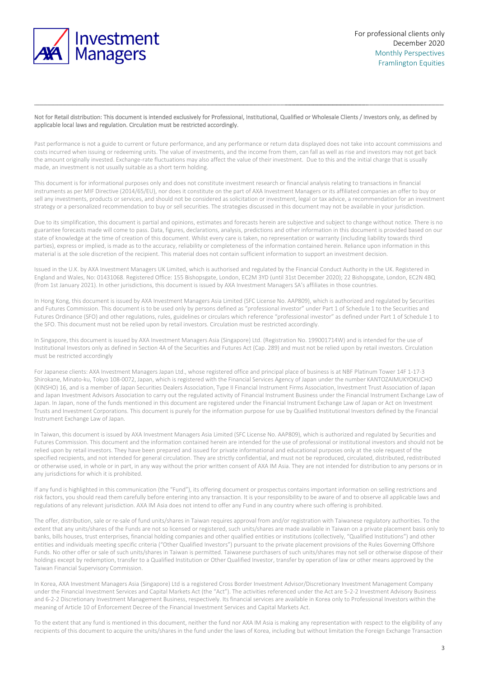

#### Not for Retail distribution: This document is intended exclusively for Professional, Institutional, Qualified or Wholesale Clients / Investors only, as defined by applicable local laws and regulation. Circulation must be restricted accordingly.

Past performance is not a guide to current or future performance, and any performance or return data displayed does not take into account commissions and costs incurred when issuing or redeeming units. The value of investments, and the income from them, can fall as well as rise and investors may not get back the amount originally invested. Exchange-rate fluctuations may also affect the value of their investment. Due to this and the initial charge that is usually made, an investment is not usually suitable as a short term holding.

This document is for informational purposes only and does not constitute investment research or financial analysis relating to transactions in financial instruments as per MIF Directive (2014/65/EU), nor does it constitute on the part of AXA Investment Managers or its affiliated companies an offer to buy or sell any investments, products or services, and should not be considered as solicitation or investment, legal or tax advice, a recommendation for an investment strategy or a personalized recommendation to buy or sell securities. The strategies discussed in this document may not be available in your jurisdiction.

Due to its simplification, this document is partial and opinions, estimates and forecasts herein are subjective and subject to change without notice. There is no guarantee forecasts made will come to pass. Data, figures, declarations, analysis, predictions and other information in this document is provided based on our state of knowledge at the time of creation of this document. Whilst every care is taken, no representation or warranty (including liability towards third parties), express or implied, is made as to the accuracy, reliability or completeness of the information contained herein. Reliance upon information in this material is at the sole discretion of the recipient. This material does not contain sufficient information to support an investment decision.

Issued in the U.K. by AXA Investment Managers UK Limited, which is authorised and regulated by the Financial Conduct Authority in the UK. Registered in England and Wales, No: 01431068. Registered Office: 155 Bishopsgate, London, EC2M 3YD (until 31st December 2020); 22 Bishopsgate, London, EC2N 4BQ (from 1st January 2021). In other jurisdictions, this document is issued by AXA Investment Managers SA's affiliates in those countries.

In Hong Kong, this document is issued by AXA Investment Managers Asia Limited (SFC License No. AAP809), which is authorized and regulated by Securities and Futures Commission. This document is to be used only by persons defined as "professional investor" under Part 1 of Schedule 1 to the Securities and Futures Ordinance (SFO) and other regulations, rules, guidelines or circulars which reference "professional investor" as defined under Part 1 of Schedule 1 to the SFO. This document must not be relied upon by retail investors. Circulation must be restricted accordingly.

In Singapore, this document is issued by AXA Investment Managers Asia (Singapore) Ltd. (Registration No. 199001714W) and is intended for the use of Institutional Investors only as defined in Section 4A of the Securities and Futures Act (Cap. 289) and must not be relied upon by retail investors. Circulation must be restricted accordingly

For Japanese clients: AXA Investment Managers Japan Ltd., whose registered office and principal place of business is at NBF Platinum Tower 14F 1-17-3 Shirokane, Minato-ku, Tokyo 108-0072, Japan, which is registered with the Financial Services Agency of Japan under the number KANTOZAIMUKYOKUCHO (KINSHO) 16, and is a member of Japan Securities Dealers Association, Type II Financial Instrument Firms Association, Investment Trust Association of Japan and Japan Investment Advisors Association to carry out the regulated activity of Financial Instrument Business under the Financial Instrument Exchange Law of Japan. In Japan, none of the funds mentioned in this document are registered under the Financial Instrument Exchange Law of Japan or Act on Investment Trusts and Investment Corporations. This document is purely for the information purpose for use by Qualified Institutional Investors defined by the Financial Instrument Exchange Law of Japan.

In Taiwan, this document is issued by AXA Investment Managers Asia Limited (SFC License No. AAP809), which is authorized and regulated by Securities and Futures Commission. This document and the information contained herein are intended for the use of professional or institutional investors and should not be relied upon by retail investors. They have been prepared and issued for private informational and educational purposes only at the sole request of the specified recipients, and not intended for general circulation. They are strictly confidential, and must not be reproduced, circulated, distributed, redistributed or otherwise used, in whole or in part, in any way without the prior written consent of AXA IM Asia. They are not intended for distribution to any persons or in any jurisdictions for which it is prohibited.

If any fund is highlighted in this communication (the "Fund"), its offering document or prospectus contains important information on selling restrictions and risk factors, you should read them carefully before entering into any transaction. It is your responsibility to be aware of and to observe all applicable laws and regulations of any relevant jurisdiction. AXA IM Asia does not intend to offer any Fund in any country where such offering is prohibited.

The offer, distribution, sale or re-sale of fund units/shares in Taiwan requires approval from and/or registration with Taiwanese regulatory authorities. To the extent that any units/shares of the Funds are not so licensed or registered, such units/shares are made available in Taiwan on a private placement basis only to banks, bills houses, trust enterprises, financial holding companies and other qualified entities or institutions (collectively, "Qualified Institutions") and other entities and individuals meeting specific criteria ("Other Qualified Investors") pursuant to the private placement provisions of the Rules Governing Offshore Funds. No other offer or sale of such units/shares in Taiwan is permitted. Taiwanese purchasers of such units/shares may not sell or otherwise dispose of their holdings except by redemption, transfer to a Qualified Institution or Other Qualified Investor, transfer by operation of law or other means approved by the Taiwan Financial Supervisory Commission.

In Korea, AXA Investment Managers Asia (Singapore) Ltd is a registered Cross Border Investment Advisor/Discretionary Investment Management Company under the Financial Investment Services and Capital Markets Act (the "Act"). The activities referenced under the Act are 5-2-2 Investment Advisory Business and 6-2-2 Discretionary Investment Management Business, respectively. Its financial services are available in Korea only to Professional Investors within the meaning of Article 10 of Enforcement Decree of the Financial Investment Services and Capital Markets Act.

To the extent that any fund is mentioned in this document, neither the fund nor AXA IM Asia is making any representation with respect to the eligibility of any recipients of this document to acquire the units/shares in the fund under the laws of Korea, including but without limitation the Foreign Exchange Transaction